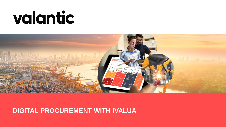

## **DIGITAL PROCUREMENT WITH IVALUA**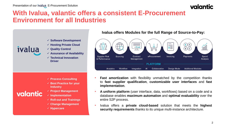## **With Ivalua, valantic offers a consistent E-Procurement Environment for all Industries**



valantic

- ✓ **Software Development**
- ✓ **Hosting Private Cloud**
- ✓ **Quality Control**
- ✓ **Assurance of Availability**
- ✓ **Technical Innovation Driver**

**Ivalua offers Modules for the full Range of Source-to-Pay:**



- ✓ **Process Consulting**
- ✓ **Best Practice for your Industry**
- ✓ **Project Management**
- ✓ **Implementation**
- ✓ **Roll-out and Trainings**
- ✓ **Change Management**
- ✓ **Hypercare**
- **Fast amortization** with flexibility unmatched by the competition thanks to **fast supplier qualification**, **customizable user interfaces** and **fast implementation**.
- **A uniform platform** (user interface, data, workflows) based on a code and a database enables **maximum automation** and **optimal evaluability** over the entire S2P process.
- Ivalua offers a **private cloud-based** solution that meets the **highest security requirements** thanks to its unique multi-instance architecture.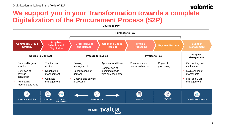## valantic **We support you in your Transformation towards a complete Digitalization of the Procurement Process (S2P)**

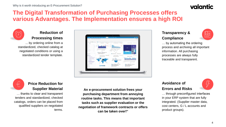## **The Digital Transformation of Purchasing Processes offers various Advantages. The Implementation ensures a high ROI**



## **Reduction of Processing times**

... by ordering online from a standardized, checked catalog at negotiated conditions or using a standardized tender template.



## **Transparency & Compliance**



… by automating the ordering process and archiving all important information. All purchasing processes are always fully traceable and transparent.

 $\pm$ 

### **Price Reduction for Supplier Material**

… thanks to clear and transparent tenders and standardized, checked catalogs, orders can be placed from qualified suppliers on negotiated terms.

**An e-procurement solution frees your purchasing department from annoying routine tasks. This means that important tasks such as supplier evaluation or the negotiation of framework contracts or offers can be taken over!"**

#### **Avoidance of Errors and Risks**



… through preconfigured interfaces in your ERP system that are fully integrated. (Supplier master data, cost centers, G / L accounts and product groups).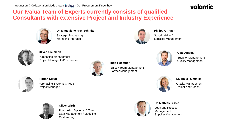## **Our Ivalua Team of Experts currently consists of qualified Consultants with extensive Project and Industry Experience**



**Dr. Magdalene Frey-Schmitt** Strategic Purchasing Marketing Interface



**Oliver Adelmann**

Purchasing Management Project Manager E-Procurement



**Ingo Hoepfner** Sales / Team Management Partner Management



**Florian Staud**

Purchasing Systems & Tools Project Manager



Purchasing Systems & Tools Data Management / Modeling **Customizing** 



#### **Dr. Mathias Gläsle**

Lean and Process Management Supplier Management

# Logistics Management



**Philipp Grittner**

Sustainability &

#### **Odai Alqaqa**

Supplier Management Quality Management



**Liudmila Rümmler** Quality Management Trainer and Coach

valantic